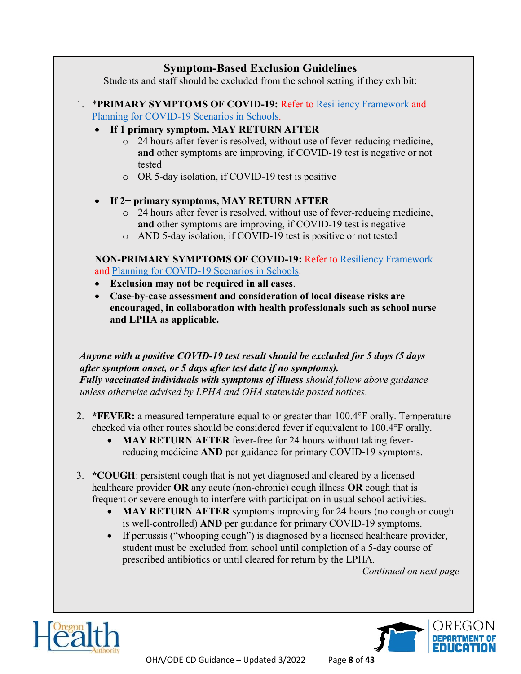## **Symptom-Based Exclusion Guidelines**

Students and staff should be excluded from the school setting if they exhibit:

- 1. \***PRIMARY SYMPTOMS OF COVID-19:** Refer to Resiliency Framework and Planning for COVID-19 Scenarios in Schools.
	- **If 1 primary symptom, MAY RETURN AFTER**
		- o 24 hours after fever is resolved, without use of fever-reducing medicine, **and** other symptoms are improving, if COVID-19 test is negative or not tested
		- o OR 5-day isolation, if COVID-19 test is positive

## • **If 2+ primary symptoms, MAY RETURN AFTER**

- o 24 hours after fever is resolved, without use of fever-reducing medicine, **and** other symptoms are improving, if COVID-19 test is negative
- o AND 5-day isolation, if COVID-19 test is positive or not tested

**NON-PRIMARY SYMPTOMS OF COVID-19:** Refer to Resiliency Framework and Planning for COVID-19 Scenarios in Schools.

- **Exclusion may not be required in all cases**.
- **Case-by-case assessment and consideration of local disease risks are encouraged, in collaboration with health professionals such as school nurse and LPHA as applicable.**

## *Anyone with a positive COVID-19 test result should be excluded for 5 days (5 days after symptom onset, or 5 days after test date if no symptoms).*

*Fully vaccinated individuals with symptoms of illness should follow above guidance unless otherwise advised by LPHA and OHA statewide posted notices*.

- 2. **\*FEVER:** a measured temperature equal to or greater than 100.4°F orally. Temperature checked via other routes should be considered fever if equivalent to 100.4°F orally.
	- **MAY RETURN AFTER** fever-free for 24 hours without taking feverreducing medicine **AND** per guidance for primary COVID-19 symptoms.
- 3. **\*COUGH**: persistent cough that is not yet diagnosed and cleared by a licensed healthcare provider **OR** any acute (non-chronic) cough illness **OR** cough that is frequent or severe enough to interfere with participation in usual school activities.
	- **MAY RETURN AFTER** symptoms improving for 24 hours (no cough or cough is well-controlled) **AND** per guidance for primary COVID-19 symptoms.
	- If pertussis ("whooping cough") is diagnosed by a licensed healthcare provider, student must be excluded from school until completion of a 5-day course of prescribed antibiotics or until cleared for return by the LPHA*.*

*Continued on next page*





OHA/ODE CD Guidance – Updated 3/2022 Page **8** of **43**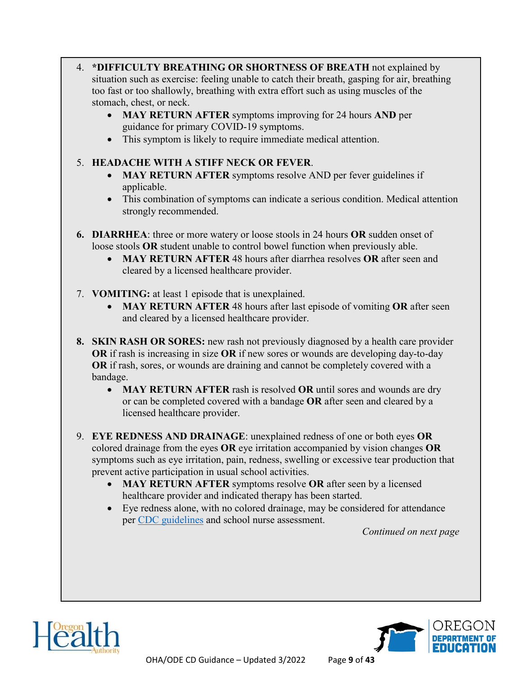- 4. **\*DIFFICULTY BREATHING OR SHORTNESS OF BREATH** not explained by situation such as exercise: feeling unable to catch their breath, gasping for air, breathing too fast or too shallowly, breathing with extra effort such as using muscles of the stomach, chest, or neck.
	- **MAY RETURN AFTER** symptoms improving for 24 hours **AND** per guidance for primary COVID-19 symptoms.
	- This symptom is likely to require immediate medical attention.

## 5. **HEADACHE WITH A STIFF NECK OR FEVER**.

- **MAY RETURN AFTER** symptoms resolve AND per fever guidelines if applicable.
- This combination of symptoms can indicate a serious condition. Medical attention strongly recommended.
- **6. DIARRHEA**: three or more watery or loose stools in 24 hours **OR** sudden onset of loose stools **OR** student unable to control bowel function when previously able.
	- **MAY RETURN AFTER** 48 hours after diarrhea resolves **OR** after seen and cleared by a licensed healthcare provider.
- 7. **VOMITING:** at least 1 episode that is unexplained.
	- **MAY RETURN AFTER** 48 hours after last episode of vomiting **OR** after seen and cleared by a licensed healthcare provider.
- **8. SKIN RASH OR SORES:** new rash not previously diagnosed by a health care provider **OR** if rash is increasing in size **OR** if new sores or wounds are developing day-to-day **OR** if rash, sores, or wounds are draining and cannot be completely covered with a bandage.
	- **MAY RETURN AFTER** rash is resolved **OR** until sores and wounds are dry or can be completed covered with a bandage **OR** after seen and cleared by a licensed healthcare provider.
- 9. **EYE REDNESS AND DRAINAGE**: unexplained redness of one or both eyes **OR**  colored drainage from the eyes **OR** eye irritation accompanied by vision changes **OR** symptoms such as eye irritation, pain, redness, swelling or excessive tear production that prevent active participation in usual school activities.
	- **MAY RETURN AFTER** symptoms resolve **OR** after seen by a licensed healthcare provider and indicated therapy has been started.
	- Eye redness alone, with no colored drainage, may be considered for attendance per CDC guidelines and school nurse assessment.

*Continued on next page*